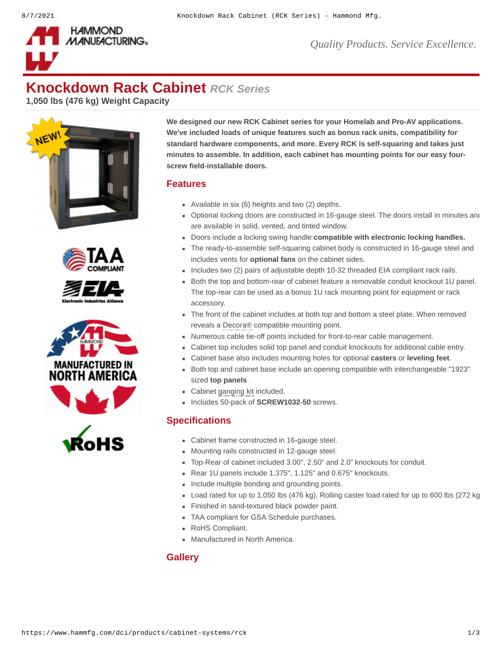

*Quality Products. Service Excellence.*

# **Knockdown Rack Cabinet** *RCK Series*

**1,050 lbs (476 kg) Weight Capacity**











**We designed our new RCK Cabinet series for your Homelab and Pro-AV applications. We've included loads of unique features such as bonus rack units, compatibility for standard hardware components, and more. Every RCK is self-squaring and takes just minutes to assemble. In addition, each cabinet has mounting points for our easy fourscrew field-installable doors.**

#### **Features**

- Available in six (6) heights and two (2) depths.
- Optional locking doors are constructed in 16-gauge steel. The doors install in minutes and are available in solid, vented, and tinted window.
- Doors include a locking swing handle **[compatible with electronic locking handles.](https://www.hammfg.com/product/dlrk)**
- The ready-to-assemble self-squaring cabinet body is constructed in 16-gauge steel and includes vents for **[optional fans](https://www.hammfg.com/product/fk)** on the cabinet sides.
- Includes two (2) pairs of adjustable depth 10-32 threaded EIA compliant rack rails.
- Both the top and bottom-rear of cabinet feature a removable conduit knockout 1U panel. The top-rear can be used as a bonus 1U rack mounting point for equipment or rack accessory.
- The front of the cabinet includes at both top and bottom a steel plate. When removed reveals a Decora® compatible mounting point.
- Numerous cable tie-off points included for front-to-rear cable management.
- Cabinet top includes solid top panel and conduit knockouts for additional cable entry.
- Cabinet base also includes mounting holes for optional **[casters](https://www.hammfg.com/product/1425bh)** or **[leveling feet](https://www.hammfg.com/product/clfk)**.
- Both top and cabinet base include an opening compatible with interchangeable "1923" sized **[top panels](https://www.hammfg.com/dci/products/accessories/top-panels)**.
- Cabinet ganging kit included.
- Includes 50-pack of **[SCREW1032-50](https://www.hammfg.com/part/SCREW1032-50)** screws.

### **Specifications**

- Cabinet frame constructed in 16-gauge steel.
- Mounting rails constructed in 12-gauge steel.
- Top-Rear of cabinet included 3.00", 2.50" and 2.0" knockouts for conduit.
- Rear 1U panels include 1.375", 1.125" and 0.675" knockouts.
- Include multiple bonding and grounding points.
- Load rated for up to 1,050 lbs (476 kg). Rolling caster load rated for up to 600 lbs (272 kg
- Finished in sand-textured black powder paint.
- TAA compliant for GSA Schedule purchases.
- RoHS Compliant.
- Manufactured in North America.

#### **Gallery**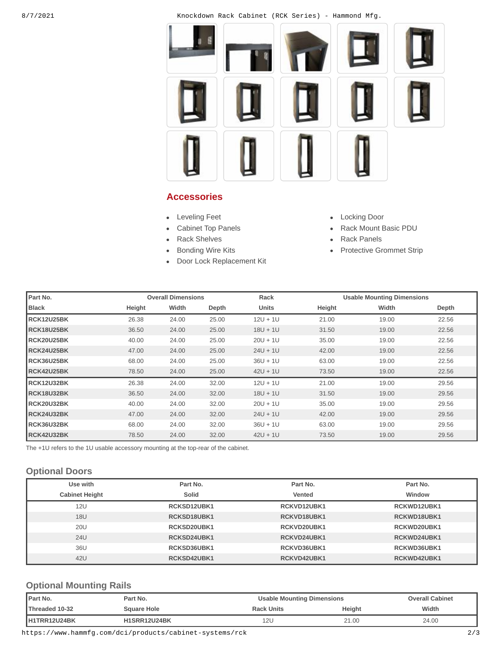8/7/2021 Knockdown Rack Cabinet (RCK Series) - Hammond Mfg.



#### **Accessories**

- [Leveling Feet](https://www.hammfg.com/dci/products/accessories/clfk?referer=1578&itm_type=accessory) **Leveling Feet COLLEGATE**
- 
- $\bullet$
- 
- [Door Lock Replacement Kit](https://www.hammfg.com/dci/products/accessories/dlrk?referer=1578&itm_type=accessory)  $\bullet$
- 
- [Cabinet Top Panels](https://www.hammfg.com/dci/products/accessories/top-panels?referer=1578&itm_type=accessory) **Acking the State Assembly Cabinet Top Panels** Ack Mount Basic PDU
	- [Rack Shelves](https://www.hammfg.com/dci/products/accessories/shelves?referer=1578&itm_type=accessory) **Rack Shelves [Rack Panels](https://www.hammfg.com/dci/products/accessories/panels?referer=1578&itm_type=accessory)**
- [Bonding Wire Kits](https://www.hammfg.com/electrical/products/accessories/grdkit?referer=1578&itm_type=accessory) **Access 19 Construction** [Protective Grommet Strip](https://www.hammfg.com/dci/products/accessories/cgg?referer=1578&itm_type=accessory)

| Part No.     |        | <b>Overall Dimensions</b> |       | Rack         |        | <b>Usable Mounting Dimensions</b> |       |
|--------------|--------|---------------------------|-------|--------------|--------|-----------------------------------|-------|
| <b>Black</b> | Height | Width                     | Depth | <b>Units</b> | Height | Width                             | Depth |
| RCK12U25BK   | 26.38  | 24.00                     | 25.00 | $12U + 1U$   | 21.00  | 19.00                             | 22.56 |
| RCK18U25BK   | 36.50  | 24.00                     | 25.00 | $18U + 1U$   | 31.50  | 19.00                             | 22.56 |
| RCK20U25BK   | 40.00  | 24.00                     | 25.00 | $20U + 1U$   | 35.00  | 19.00                             | 22.56 |
| RCK24U25BK   | 47.00  | 24.00                     | 25.00 | $24U + 1U$   | 42.00  | 19.00                             | 22.56 |
| RCK36U25BK   | 68.00  | 24.00                     | 25.00 | $36U + 1U$   | 63.00  | 19.00                             | 22.56 |
| RCK42U25BK   | 78.50  | 24.00                     | 25.00 | $42U + 1U$   | 73.50  | 19.00                             | 22.56 |
| RCK12U32BK   | 26.38  | 24.00                     | 32.00 | $12U + 1U$   | 21.00  | 19.00                             | 29.56 |
| RCK18U32BK   | 36.50  | 24.00                     | 32.00 | $18U + 1U$   | 31.50  | 19.00                             | 29.56 |
| RCK20U32BK   | 40.00  | 24.00                     | 32.00 | $20U + 1U$   | 35.00  | 19.00                             | 29.56 |
| RCK24U32BK   | 47.00  | 24.00                     | 32.00 | $24U + 1U$   | 42.00  | 19.00                             | 29.56 |
| RCK36U32BK   | 68.00  | 24.00                     | 32.00 | $36U + 1U$   | 63.00  | 19.00                             | 29.56 |
| RCK42U32BK   | 78.50  | 24.00                     | 32.00 | $42U + 1U$   | 73.50  | 19.00                             | 29.56 |

The +1U refers to the 1U usable accessory mounting at the top-rear of the cabinet.

### **Optional Doors**

| Use with              | Part No.    | Part No.    | Part No.    |
|-----------------------|-------------|-------------|-------------|
| <b>Cabinet Height</b> | Solid       | Vented      | Window      |
| 12U                   | RCKSD12UBK1 | RCKVD12UBK1 | RCKWD12UBK1 |
| 18U                   | RCKSD18UBK1 | RCKVD18UBK1 | RCKWD18UBK1 |
| <b>20U</b>            | RCKSD20UBK1 | RCKVD20UBK1 | RCKWD20UBK1 |
| 24U                   | RCKSD24UBK1 | RCKVD24UBK1 | RCKWD24UBK1 |
| 36U                   | RCKSD36UBK1 | RCKVD36UBK1 | RCKWD36UBK1 |
| 42U                   | RCKSD42UBK1 | RCKVD42UBK1 | RCKWD42UBK1 |

### **Optional Mounting Rails**

| <b>I</b> Part No.     | Part No.            | <b>Usable Mounting Dimensions</b> |        | <b>Overall Cabinet</b> |  |
|-----------------------|---------------------|-----------------------------------|--------|------------------------|--|
| <b>Threaded 10-32</b> | <b>Sauare Hole</b>  | <b>Rack Units</b>                 | Height | Width                  |  |
| H1TRR12U24BK          | <b>H1SRR12U24BK</b> | 12U                               | 21.00  | 24.00                  |  |

https://www.hammfg.com/dci/products/cabinet-systems/rck 2/3